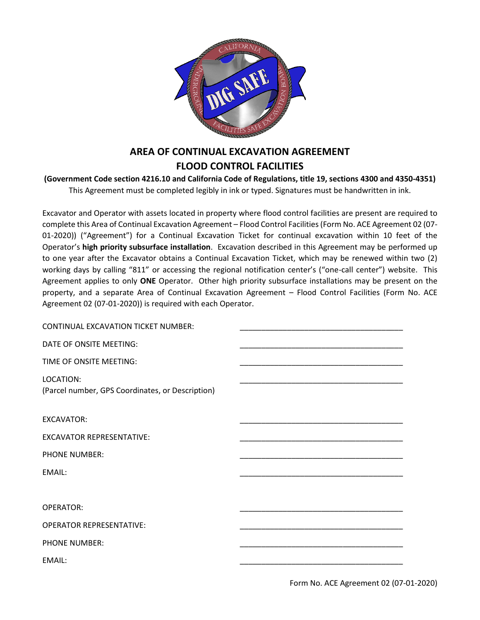

# **AREA OF CONTINUAL EXCAVATION AGREEMENT FLOOD CONTROL FACILITIES**

#### **(Government Code section 4216.10 and California Code of Regulations, title 19, sections 4300 and 4350-4351)** This Agreement must be completed legibly in ink or typed. Signatures must be handwritten in ink.

Excavator and Operator with assets located in property where flood control facilities are present are required to complete this Area of Continual Excavation Agreement – Flood Control Facilities (Form No. ACE Agreement 02 (07- 01-2020)) ("Agreement") for a Continual Excavation Ticket for continual excavation within 10 feet of the Operator's **high priority subsurface installation**. Excavation described in this Agreement may be performed up to one year after the Excavator obtains a Continual Excavation Ticket, which may be renewed within two (2) working days by calling "811" or accessing the regional notification center's ("one-call center") website. This Agreement applies to only **ONE** Operator. Other high priority subsurface installations may be present on the property, and a separate Area of Continual Excavation Agreement – Flood Control Facilities (Form No. ACE Agreement 02 (07-01-2020)) is required with each Operator.

| <b>CONTINUAL EXCAVATION TICKET NUMBER:</b>                    |  |
|---------------------------------------------------------------|--|
| DATE OF ONSITE MEETING:                                       |  |
| TIME OF ONSITE MEETING:                                       |  |
| LOCATION:<br>(Parcel number, GPS Coordinates, or Description) |  |
| <b>EXCAVATOR:</b>                                             |  |
| <b>EXCAVATOR REPRESENTATIVE:</b>                              |  |
| <b>PHONE NUMBER:</b>                                          |  |
| EMAIL:                                                        |  |
|                                                               |  |
| <b>OPERATOR:</b>                                              |  |
| <b>OPERATOR REPRESENTATIVE:</b>                               |  |
| <b>PHONE NUMBER:</b>                                          |  |
| EMAIL:                                                        |  |
|                                                               |  |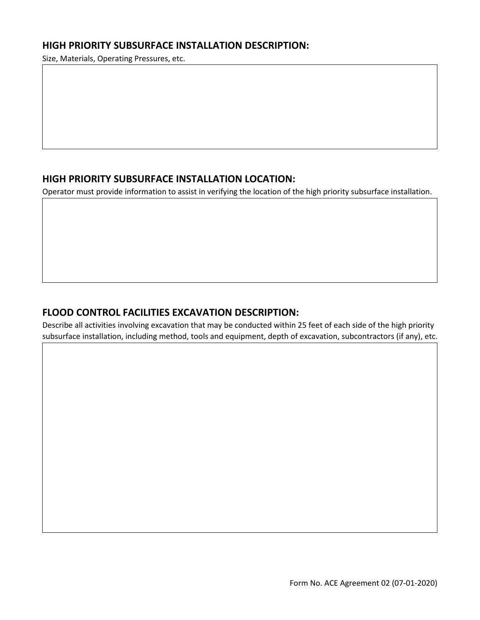### **HIGH PRIORITY SUBSURFACE INSTALLATION DESCRIPTION:**

Size, Materials, Operating Pressures, etc.

# **HIGH PRIORITY SUBSURFACE INSTALLATION LOCATION:**

Operator must provide information to assist in verifying the location of the high priority subsurface installation.

## **FLOOD CONTROL FACILITIES EXCAVATION DESCRIPTION:**

Describe all activities involving excavation that may be conducted within 25 feet of each side of the high priority subsurface installation, including method, tools and equipment, depth of excavation, subcontractors (if any), etc.